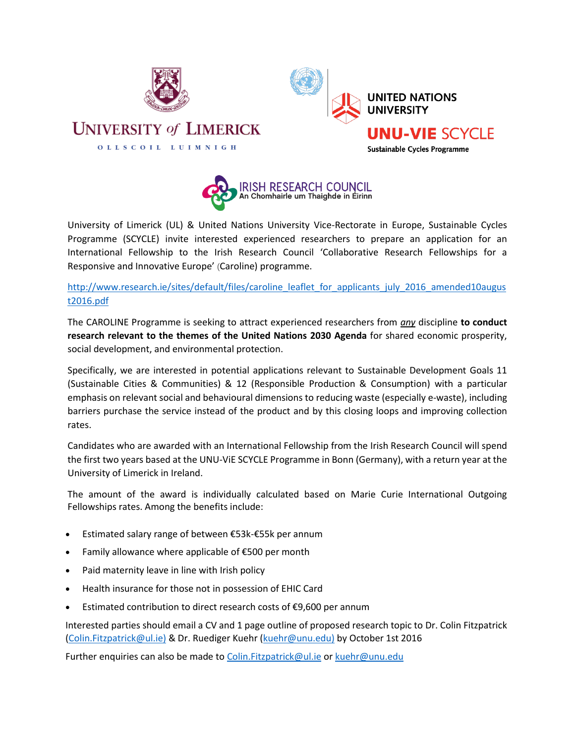



University of Limerick (UL) & United Nations University Vice-Rectorate in Europe, Sustainable Cycles Programme (SCYCLE) invite interested experienced researchers to prepare an application for an International Fellowship to the Irish Research Council 'Collaborative Research Fellowships for a Responsive and Innovative Europe' (Caroline) programme.

## [http://www.research.ie/sites/default/files/caroline\\_leaflet\\_for\\_applicants\\_july\\_2016\\_amended10augus](http://www.research.ie/sites/default/files/caroline_leaflet_for_applicants_july_2016_amended10august2016.pdf) [t2016.pdf](http://www.research.ie/sites/default/files/caroline_leaflet_for_applicants_july_2016_amended10august2016.pdf)

The CAROLINE Programme is seeking to attract experienced researchers from *any* discipline **to conduct research relevant to the themes of the United Nations 2030 Agenda** for shared economic prosperity, social development, and environmental protection.

Specifically, we are interested in potential applications relevant to Sustainable Development Goals 11 (Sustainable Cities & Communities) & 12 (Responsible Production & Consumption) with a particular emphasis on relevant social and behavioural dimensions to reducing waste (especially e-waste), including barriers purchase the service instead of the product and by this closing loops and improving collection rates.

Candidates who are awarded with an International Fellowship from the Irish Research Council will spend the first two years based at the UNU-ViE SCYCLE Programme in Bonn (Germany), with a return year at the University of Limerick in Ireland.

The amount of the award is individually calculated based on Marie Curie International Outgoing Fellowships rates. Among the benefits include:

- Estimated salary range of between €53k-€55k per annum
- Family allowance where applicable of €500 per month
- Paid maternity leave in line with Irish policy
- Health insurance for those not in possession of EHIC Card
- Estimated contribution to direct research costs of €9,600 per annum

Interested parties should email a CV and 1 page outline of proposed research topic to Dr. Colin Fitzpatrick [\(Colin.Fitzpatrick@ul.ie\)](mailto:Colin.Fitzpatrick@ul.ie) & Dr. Ruediger Kuehr [\(kuehr@unu.edu\)](mailto:kuehr@unu.edu) by October 1st 2016

Further enquiries can also be made t[o Colin.Fitzpatrick@ul.ie](mailto:Colin.Fitzpatrick@ul.ie) or [kuehr@unu.edu](mailto:kuehr@unu.edu)